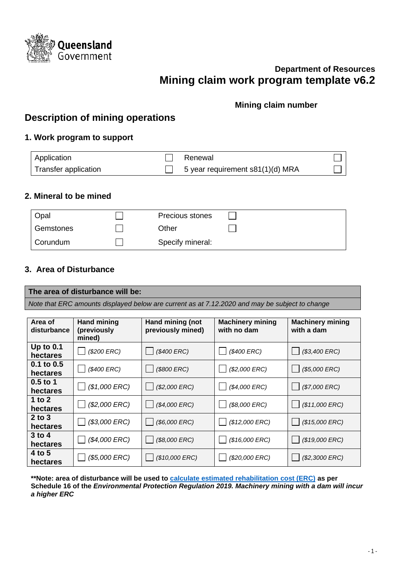

# **Department of Resources Mining claim work program template v6.2**

## **Mining claim number**

# **Description of mining operations**

## **1. Work program to support**

| Application          | Renewal                          |  |
|----------------------|----------------------------------|--|
| Transfer application | 5 year requirement s81(1)(d) MRA |  |

### **2. Mineral to be mined**

| Opal      | Precious stones  |  |
|-----------|------------------|--|
| Gemstones | Other            |  |
| Corundum  | Specify mineral: |  |

## **3. Area of Disturbance**

#### **The area of disturbance will be:**

*Note that ERC amounts displayed below are current as at 7.12.2020 and may be subject to change*

| Area of<br>disturbance  | <b>Hand mining</b><br>(previously<br>mined) | Hand mining (not<br><b>Machinery mining</b><br>previously mined)<br>with no dam |                | <b>Machinery mining</b><br>with a dam |  |
|-------------------------|---------------------------------------------|---------------------------------------------------------------------------------|----------------|---------------------------------------|--|
| Up to $0.1$<br>hectares | (\$200 ERC)                                 | (\$400 ERC)                                                                     | (\$400 ERC)    | $($3,400$ ERC)                        |  |
| 0.1 to 0.5<br>hectares  | (\$400 ERC)                                 | (\$800 ERC)                                                                     | $($2,000$ ERC) | $($5,000$ ERC)                        |  |
| $0.5$ to 1<br>hectares  | $($1,000$ ERC)                              | $($2,000$ $ERC)$                                                                | (\$4,000 ERC)  | $($7,000$ $ERC)$                      |  |
| 1 to 2<br>hectares      | (\$2,000 ERC)                               | (\$4,000 ERC)                                                                   | (\$8,000 ERC)  | $($11,000$ ERC)                       |  |
| $2$ to $3$<br>hectares  | $($3,000$ ERC)                              | (\$6,000 ERC)                                                                   | (\$12,000 ERC) | $($15,000$ ERC)                       |  |
| $3$ to 4<br>hectares    | (\$4,000 ERC)                               | (\$8,000 ERC)                                                                   | (\$16,000 ERC) | (\$19,000 ERC)                        |  |
| 4 to 5<br>hectares      | (\$5,000 ERC)                               | (\$10,000 ERC)                                                                  | (\$20,000 ERC) | $($2,3000$ ERC)                       |  |

**\*\*Note: area of disturbance will be used to [calculate estimated rehabilitation cost \(ERC\)](https://www.business.qld.gov.au/running-business/environment/licences-permits/rehabilitation/resource-activities) as per Schedule 16 of the** *Environmental Protection Regulation 2019. Machinery mining with a dam will incur a higher ERC*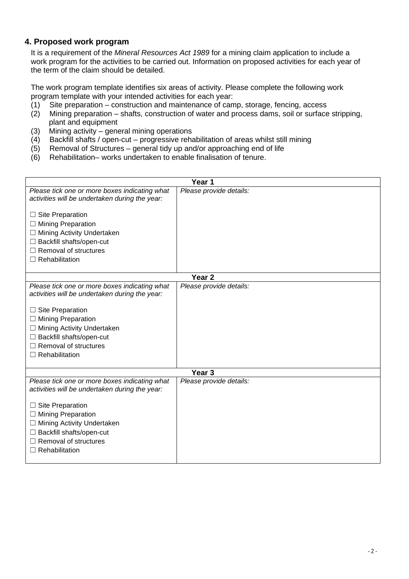## **4. Proposed work program**

It is a requirement of the *Mineral Resources Act 1989* for a mining claim application to include a work program for the activities to be carried out. Information on proposed activities for each year of the term of the claim should be detailed.

The work program template identifies six areas of activity. Please complete the following work program template with your intended activities for each year:

- (1) Site preparation construction and maintenance of camp, storage, fencing, access
- (2) Mining preparation shafts, construction of water and process dams, soil or surface stripping, plant and equipment
- 
- (3) Mining activity general mining operations<br>(4) Backfill shafts / open-cut progressive reha Backfill shafts / open-cut – progressive rehabilitation of areas whilst still mining
- (5) Removal of Structures general tidy up and/or approaching end of life
- (6) Rehabilitation– works undertaken to enable finalisation of tenure.

| Year 1                                                                                          |                         |  |  |  |
|-------------------------------------------------------------------------------------------------|-------------------------|--|--|--|
| Please tick one or more boxes indicating what<br>activities will be undertaken during the year: | Please provide details: |  |  |  |
| $\Box$ Site Preparation                                                                         |                         |  |  |  |
| $\Box$ Mining Preparation                                                                       |                         |  |  |  |
| □ Mining Activity Undertaken                                                                    |                         |  |  |  |
| □ Backfill shafts/open-cut<br>$\Box$ Removal of structures                                      |                         |  |  |  |
| $\Box$ Rehabilitation                                                                           |                         |  |  |  |
|                                                                                                 |                         |  |  |  |
|                                                                                                 | Year <sub>2</sub>       |  |  |  |
| Please tick one or more boxes indicating what<br>activities will be undertaken during the year: | Please provide details: |  |  |  |
| $\Box$ Site Preparation                                                                         |                         |  |  |  |
| $\Box$ Mining Preparation                                                                       |                         |  |  |  |
| □ Mining Activity Undertaken                                                                    |                         |  |  |  |
| $\Box$ Backfill shafts/open-cut                                                                 |                         |  |  |  |
| $\Box$ Removal of structures<br>$\Box$ Rehabilitation                                           |                         |  |  |  |
|                                                                                                 |                         |  |  |  |
|                                                                                                 | Year <sub>3</sub>       |  |  |  |
| Please tick one or more boxes indicating what<br>activities will be undertaken during the year: | Please provide details: |  |  |  |
| $\Box$ Site Preparation                                                                         |                         |  |  |  |
| $\Box$ Mining Preparation                                                                       |                         |  |  |  |
| □ Mining Activity Undertaken                                                                    |                         |  |  |  |
| □ Backfill shafts/open-cut                                                                      |                         |  |  |  |
| $\Box$ Removal of structures                                                                    |                         |  |  |  |
|                                                                                                 |                         |  |  |  |
| $\Box$ Rehabilitation                                                                           |                         |  |  |  |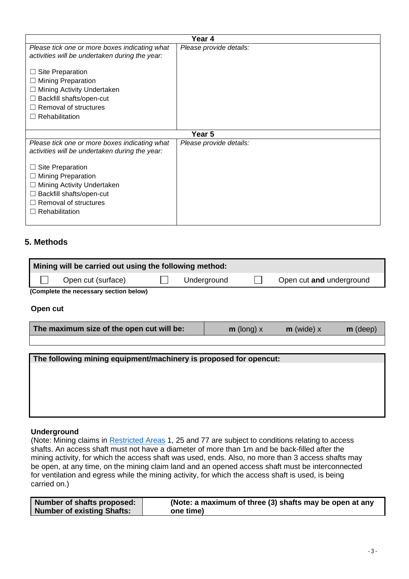| Year 4                                                                                          |                         |  |  |
|-------------------------------------------------------------------------------------------------|-------------------------|--|--|
| Please tick one or more boxes indicating what<br>activities will be undertaken during the year: | Please provide details: |  |  |
| Site Preparation<br>⊔                                                                           |                         |  |  |
| <b>Mining Preparation</b><br>Ш                                                                  |                         |  |  |
| Mining Activity Undertaken<br>ш                                                                 |                         |  |  |
| Backfill shafts/open-cut<br>Ш                                                                   |                         |  |  |
| Removal of structures<br>$\Box$                                                                 |                         |  |  |
| Rehabilitation<br>$\perp$                                                                       |                         |  |  |
|                                                                                                 |                         |  |  |
|                                                                                                 | Year <sub>5</sub>       |  |  |
| Please tick one or more boxes indicating what<br>activities will be undertaken during the year: | Please provide details: |  |  |
| Site Preparation<br>⊔                                                                           |                         |  |  |
| <b>Mining Preparation</b><br>⊔                                                                  |                         |  |  |
| Mining Activity Undertaken                                                                      |                         |  |  |
| Backfill shafts/open-cut<br>Ш                                                                   |                         |  |  |
| Removal of structures                                                                           |                         |  |  |
|                                                                                                 |                         |  |  |
| $\Box$ Rehabilitation                                                                           |                         |  |  |

## **5. Methods**

| Mining will be carried out using the following method: |                                        |  |             |  |                          |  |  |
|--------------------------------------------------------|----------------------------------------|--|-------------|--|--------------------------|--|--|
|                                                        | Open cut (surface)                     |  | Underground |  | Open cut and underground |  |  |
|                                                        | (Complete the necessary section below) |  |             |  |                          |  |  |

#### **Open cut**

| The maximum size of the open cut will be: | $m$ (long) $x$ | $m$ (wide) x | $m$ (deep) |
|-------------------------------------------|----------------|--------------|------------|
|                                           |                |              |            |

# **The following mining equipment/machinery is proposed for opencut:**

#### **Underground**

(Note: Mining claims in [Restricted Areas](https://www.business.qld.gov.au/industries/mining-energy-water/resources/minerals-coal/authorities-permits/applying/land-constraints) 1, 25 and 77 are subject to conditions relating to access shafts. An access shaft must not have a diameter of more than 1m and be back-filled after the mining activity, for which the access shaft was used, ends. Also, no more than 3 access shafts may be open, at any time, on the mining claim land and an opened access shaft must be interconnected for ventilation and egress while the mining activity, for which the access shaft is used, is being carried on.)

| Number of shafts proposed: | (Note: a maximum of three (3) shafts may be open at any |
|----------------------------|---------------------------------------------------------|
| Number of existing Shafts: | one time)                                               |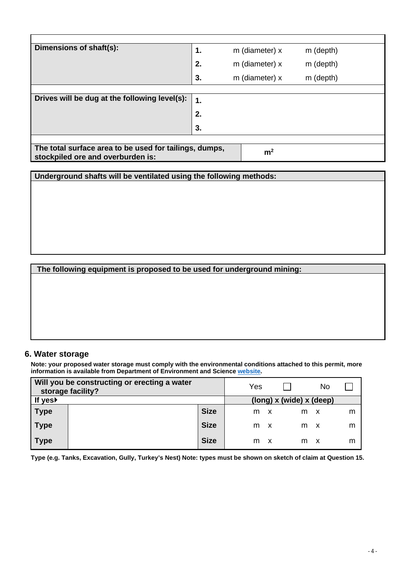| Dimensions of shaft(s):                                                                     | 1.          | m (diameter) x | m (depth) |  |  |
|---------------------------------------------------------------------------------------------|-------------|----------------|-----------|--|--|
|                                                                                             | 2.          | m (diameter) x | m (depth) |  |  |
|                                                                                             | 3.          | m (diameter) x | m (depth) |  |  |
|                                                                                             |             |                |           |  |  |
| Drives will be dug at the following level(s):                                               | $\mathbf 1$ |                |           |  |  |
|                                                                                             | 2.          |                |           |  |  |
|                                                                                             | 3.          |                |           |  |  |
|                                                                                             |             |                |           |  |  |
| The total surface area to be used for tailings, dumps,<br>stockpiled ore and overburden is: |             | m <sup>2</sup> |           |  |  |

**Underground shafts will be ventilated using the following methods:**

#### **The following equipment is proposed to be used for underground mining:**

#### **6. Water storage**

**Note: your proposed water storage must comply with the environmental conditions attached to this permit, more information is available from Department of Environment and Science [website.](https://www.des.qld.gov.au/)** 

|                  | Will you be constructing or erecting a water<br>storage facility? |             | Yes |   |                            | No |   |
|------------------|-------------------------------------------------------------------|-------------|-----|---|----------------------------|----|---|
| If yes <b></b> ▶ |                                                                   |             |     |   | $(long)$ x (wide) x (deep) |    |   |
| <b>Type</b>      |                                                                   | <b>Size</b> | m   |   | m                          |    | m |
| <b>Type</b>      |                                                                   | <b>Size</b> | m   | X | m                          |    | m |
| <b>Type</b>      |                                                                   | <b>Size</b> | m   | X | m                          |    | m |

**Type (e.g. Tanks, Excavation, Gully, Turkey's Nest) Note: types must be shown on sketch of claim at Question 15.**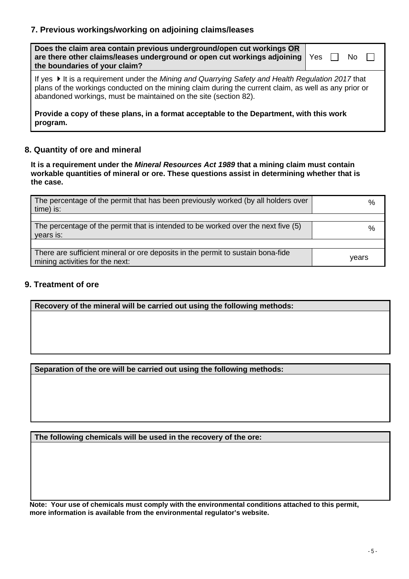## **7. Previous workings/working on adjoining claims/leases**

| Does the claim area contain previous underground/open cut workings OR<br>are there other claims/leases underground or open cut workings adjoining<br>the boundaries of your claim?                                                                                              | Yes |  |  |  |
|---------------------------------------------------------------------------------------------------------------------------------------------------------------------------------------------------------------------------------------------------------------------------------|-----|--|--|--|
| If yes ▶ It is a requirement under the Mining and Quarrying Safety and Health Regulation 2017 that<br>plans of the workings conducted on the mining claim during the current claim, as well as any prior or<br>abandoned workings, must be maintained on the site (section 82). |     |  |  |  |
| Provide a copy of these plans, in a format acceptable to the Department, with this work<br>program.                                                                                                                                                                             |     |  |  |  |

## **8. Quantity of ore and mineral**

**It is a requirement under the** *Mineral Resources Act 1989* **that a mining claim must contain workable quantities of mineral or ore. These questions assist in determining whether that is the case.**

| The percentage of the permit that has been previously worked (by all holders over<br>time) is:                     | %     |
|--------------------------------------------------------------------------------------------------------------------|-------|
|                                                                                                                    |       |
| The percentage of the permit that is intended to be worked over the next five (5)<br>years is:                     | %     |
|                                                                                                                    |       |
| There are sufficient mineral or ore deposits in the permit to sustain bona-fide<br>mining activities for the next: | vears |

### **9. Treatment of ore**

**Recovery of the mineral will be carried out using the following methods:**

**Separation of the ore will be carried out using the following methods:**

**The following chemicals will be used in the recovery of the ore:**

**Note: Your use of chemicals must comply with the environmental conditions attached to this permit, more information is available from the environmental regulator's website.**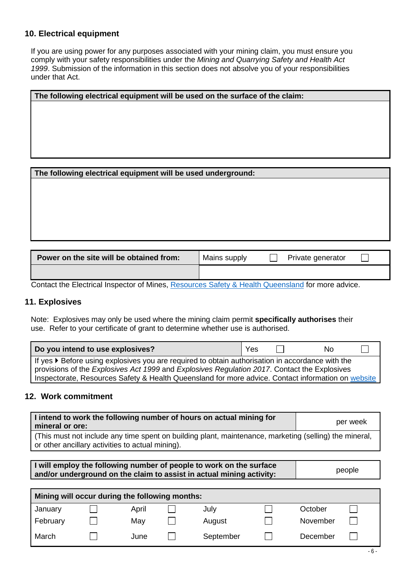#### **10. Electrical equipment**

If you are using power for any purposes associated with your mining claim, you must ensure you comply with your safety responsibilities under the *Mining and Quarrying Safety and Health Act 1999*. Submission of the information in this section does not absolve you of your responsibilities under that Act.

| The following electrical equipment will be used on the surface of the claim: |
|------------------------------------------------------------------------------|
|                                                                              |
|                                                                              |
|                                                                              |
|                                                                              |
|                                                                              |
|                                                                              |
|                                                                              |
|                                                                              |
| The following electrical equipment will be used underground:                 |
|                                                                              |

| Power on the site will be obtained from: | Mains supply | Private generator |  |
|------------------------------------------|--------------|-------------------|--|
|                                          |              |                   |  |

Contact the Electrical Inspector of Mines, [Resources Safety & Health Queensland](https://www.rshq.qld.gov.au/contact-us) for more advice.

#### **11. Explosives**

Note: Explosives may only be used where the mining claim permit **specifically authorises** their use. Refer to your certificate of grant to determine whether use is authorised.

| Do you intend to use explosives?                                                                   | Yes |  | Nο |  |
|----------------------------------------------------------------------------------------------------|-----|--|----|--|
| If yes ▶ Before using explosives you are required to obtain authorisation in accordance with the   |     |  |    |  |
| provisions of the Explosives Act 1999 and Explosives Regulation 2017. Contact the Explosives       |     |  |    |  |
| Inspectorate, Resources Safety & Health Queensland for more advice. Contact information on website |     |  |    |  |

### **12. Work commitment**

j.

| I intend to work the following number of hours on actual mining for<br>mineral or ore:                                                                     | per week |
|------------------------------------------------------------------------------------------------------------------------------------------------------------|----------|
| (This must not include any time spent on building plant, maintenance, marketing (selling) the mineral,<br>or other ancillary activities to actual mining). |          |

**I will employ the following number of people to work on the surface and/or underground on the claim to assist in actual mining activity:** people

| Mining will occur during the following months: |  |       |  |           |  |          |  |
|------------------------------------------------|--|-------|--|-----------|--|----------|--|
| January                                        |  | April |  | July      |  | October  |  |
| February                                       |  | May   |  | August    |  | November |  |
| March                                          |  | June  |  | September |  | December |  |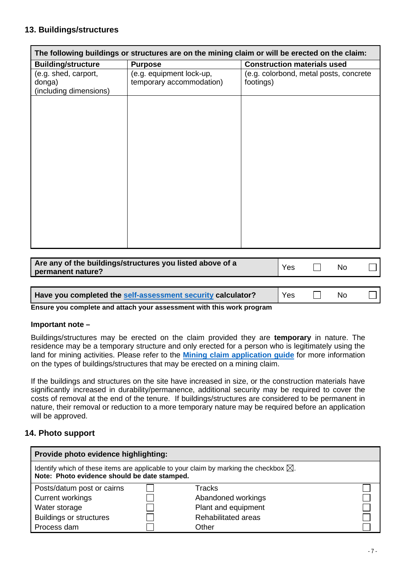### **13. Buildings/structures**

| The following buildings or structures are on the mining claim or will be erected on the claim: |                          |                                        |  |  |
|------------------------------------------------------------------------------------------------|--------------------------|----------------------------------------|--|--|
| <b>Building/structure</b>                                                                      | <b>Purpose</b>           | <b>Construction materials used</b>     |  |  |
| (e.g. shed, carport,                                                                           | (e.g. equipment lock-up, | (e.g. colorbond, metal posts, concrete |  |  |
| donga)                                                                                         | temporary accommodation) | footings)                              |  |  |
| (including dimensions)                                                                         |                          |                                        |  |  |
|                                                                                                |                          |                                        |  |  |
|                                                                                                |                          |                                        |  |  |
|                                                                                                |                          |                                        |  |  |
|                                                                                                |                          |                                        |  |  |
|                                                                                                |                          |                                        |  |  |
|                                                                                                |                          |                                        |  |  |
|                                                                                                |                          |                                        |  |  |
|                                                                                                |                          |                                        |  |  |
|                                                                                                |                          |                                        |  |  |
|                                                                                                |                          |                                        |  |  |
|                                                                                                |                          |                                        |  |  |
|                                                                                                |                          |                                        |  |  |
|                                                                                                |                          |                                        |  |  |
|                                                                                                |                          |                                        |  |  |
|                                                                                                |                          |                                        |  |  |
|                                                                                                |                          |                                        |  |  |
|                                                                                                |                          |                                        |  |  |

| Are any of the buildings/structures you listed above of a<br>permanent nature? |  | <b>No</b> |  |
|--------------------------------------------------------------------------------|--|-----------|--|
|                                                                                |  |           |  |

**Have you completed the [self-assessment](https://www.dnrme.qld.gov.au/__data/assets/pdf_file/0009/1448811/self-assessment-calculator-ssm-security.pdf) security calculator?** | Yes  $\Box$  No

**Ensure you complete and attach your assessment with this work program**

#### **Important note –**

Buildings/structures may be erected on the claim provided they are **temporary** in nature. The residence may be a temporary structure and only erected for a person who is legitimately using the land for mining activities. Please refer to the **[Mining claim application guide](https://www.dnrme.qld.gov.au/__data/assets/pdf_file/0005/217895/mining-claim-applicatiohttps:/www.business.qld.gov.au/industries/mining-energy-water/resources/minerals-coal/authorities-permits/applying/land-constraintsn-guide.pdf)** for more information on the types of buildings/structures that may be erected on a mining claim.

If the buildings and structures on the site have increased in size, or the construction materials have significantly increased in durability/permanence, additional security may be required to cover the costs of removal at the end of the tenure. If buildings/structures are considered to be permanent in nature, their removal or reduction to a more temporary nature may be required before an application will be approved.

### **14. Photo support**

| Provide photo evidence highlighting:         |  |                                                                                                  |  |  |
|----------------------------------------------|--|--------------------------------------------------------------------------------------------------|--|--|
| Note: Photo evidence should be date stamped. |  | Identify which of these items are applicable to your claim by marking the checkbox $\boxtimes$ . |  |  |
| Posts/datum post or cairns                   |  | Tracks                                                                                           |  |  |
| <b>Current workings</b>                      |  | Abandoned workings                                                                               |  |  |
| Water storage                                |  | Plant and equipment                                                                              |  |  |
| <b>Buildings or structures</b>               |  | Rehabilitated areas                                                                              |  |  |
| Process dam                                  |  | Other                                                                                            |  |  |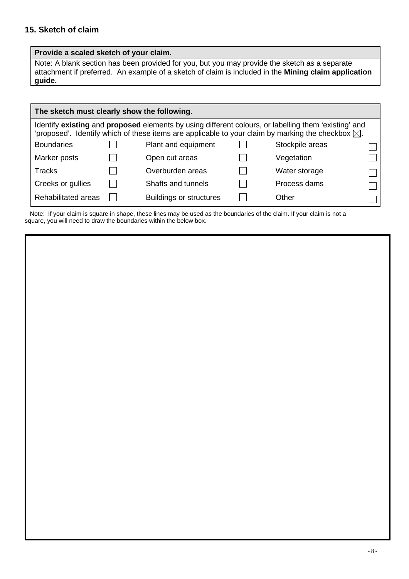### **15. Sketch of claim**

#### **Provide a scaled sketch of your claim.**

Note: A blank section has been provided for you, but you may provide the sketch as a separate attachment if preferred.An example of a sketch of claim is included in the **Mining claim application guide.**

|                     |                                                                                                                                                                                                                      | The sketch must clearly show the following. |  |                 |  |
|---------------------|----------------------------------------------------------------------------------------------------------------------------------------------------------------------------------------------------------------------|---------------------------------------------|--|-----------------|--|
|                     | Identify existing and proposed elements by using different colours, or labelling them 'existing' and<br>'proposed'. Identify which of these items are applicable to your claim by marking the checkbox $\boxtimes$ . |                                             |  |                 |  |
| <b>Boundaries</b>   |                                                                                                                                                                                                                      | Plant and equipment                         |  | Stockpile areas |  |
| Marker posts        |                                                                                                                                                                                                                      | Open cut areas                              |  | Vegetation      |  |
| <b>Tracks</b>       |                                                                                                                                                                                                                      | Overburden areas                            |  | Water storage   |  |
| Creeks or gullies   |                                                                                                                                                                                                                      | Shafts and tunnels                          |  | Process dams    |  |
| Rehabilitated areas |                                                                                                                                                                                                                      | <b>Buildings or structures</b>              |  | Other           |  |

 Note: If your claim is square in shape, these lines may be used as the boundaries of the claim. If your claim is not a square, you will need to draw the boundaries within the below box.